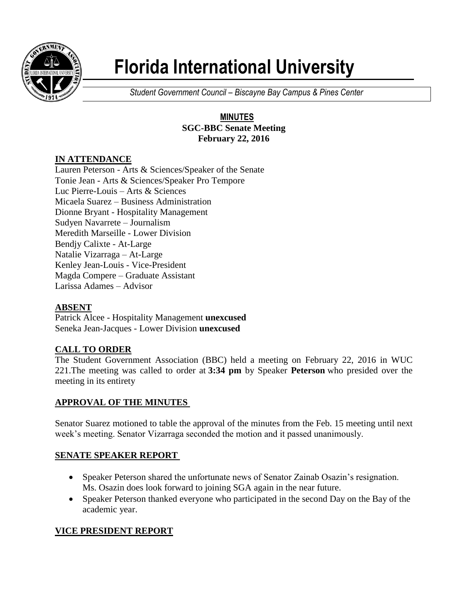

# **Florida International University**

*Student Government Council – Biscayne Bay Campus & Pines Center*

## **MINUTES SGC-BBC Senate Meeting February 22, 2016**

# **IN ATTENDANCE**

Lauren Peterson - Arts & Sciences/Speaker of the Senate Tonie Jean - Arts & Sciences/Speaker Pro Tempore Luc Pierre-Louis – Arts & Sciences Micaela Suarez – Business Administration Dionne Bryant - Hospitality Management Sudyen Navarrete – Journalism Meredith Marseille - Lower Division Bendjy Calixte - At-Large Natalie Vizarraga – At-Large Kenley Jean-Louis - Vice-President Magda Compere – Graduate Assistant Larissa Adames – Advisor

# **ABSENT**

Patrick Alcee - Hospitality Management **unexcused** Seneka Jean-Jacques - Lower Division **unexcused**

# **CALL TO ORDER**

The Student Government Association (BBC) held a meeting on February 22, 2016 in WUC 221.The meeting was called to order at **3:34 pm** by Speaker **Peterson** who presided over the meeting in its entirety

# **APPROVAL OF THE MINUTES**

Senator Suarez motioned to table the approval of the minutes from the Feb. 15 meeting until next week's meeting. Senator Vizarraga seconded the motion and it passed unanimously.

# **SENATE SPEAKER REPORT**

- Speaker Peterson shared the unfortunate news of Senator Zainab Osazin's resignation. Ms. Osazin does look forward to joining SGA again in the near future.
- Speaker Peterson thanked everyone who participated in the second Day on the Bay of the academic year.

# **VICE PRESIDENT REPORT**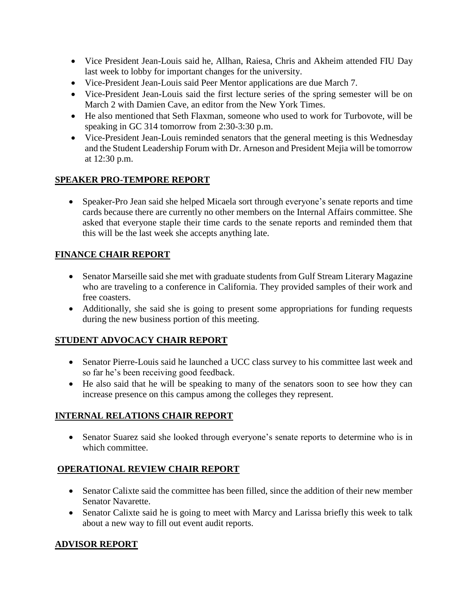- Vice President Jean-Louis said he, Allhan, Raiesa, Chris and Akheim attended FIU Day last week to lobby for important changes for the university.
- Vice-President Jean-Louis said Peer Mentor applications are due March 7.
- Vice-President Jean-Louis said the first lecture series of the spring semester will be on March 2 with Damien Cave, an editor from the New York Times.
- He also mentioned that Seth Flaxman, someone who used to work for Turbovote, will be speaking in GC 314 tomorrow from 2:30-3:30 p.m.
- Vice-President Jean-Louis reminded senators that the general meeting is this Wednesday and the Student Leadership Forum with Dr. Arneson and President Mejia will be tomorrow at 12:30 p.m.

# **SPEAKER PRO-TEMPORE REPORT**

 Speaker-Pro Jean said she helped Micaela sort through everyone's senate reports and time cards because there are currently no other members on the Internal Affairs committee. She asked that everyone staple their time cards to the senate reports and reminded them that this will be the last week she accepts anything late.

# **FINANCE CHAIR REPORT**

- Senator Marseille said she met with graduate students from Gulf Stream Literary Magazine who are traveling to a conference in California. They provided samples of their work and free coasters.
- Additionally, she said she is going to present some appropriations for funding requests during the new business portion of this meeting.

# **STUDENT ADVOCACY CHAIR REPORT**

- Senator Pierre-Louis said he launched a UCC class survey to his committee last week and so far he's been receiving good feedback.
- He also said that he will be speaking to many of the senators soon to see how they can increase presence on this campus among the colleges they represent.

# **INTERNAL RELATIONS CHAIR REPORT**

• Senator Suarez said she looked through everyone's senate reports to determine who is in which committee.

# **OPERATIONAL REVIEW CHAIR REPORT**

- Senator Calixte said the committee has been filled, since the addition of their new member Senator Navarette.
- Senator Calixte said he is going to meet with Marcy and Larissa briefly this week to talk about a new way to fill out event audit reports.

# **ADVISOR REPORT**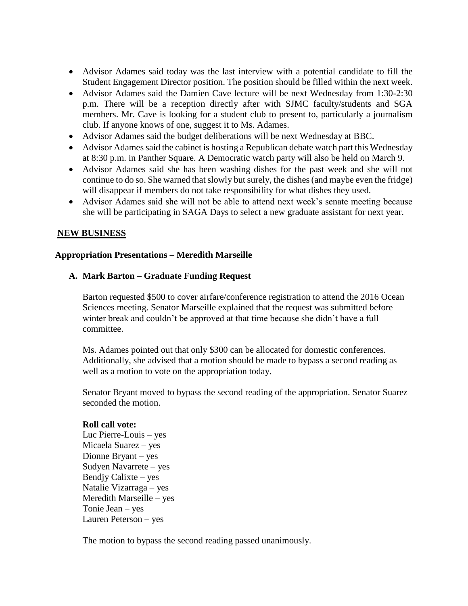- Advisor Adames said today was the last interview with a potential candidate to fill the Student Engagement Director position. The position should be filled within the next week.
- Advisor Adames said the Damien Cave lecture will be next Wednesday from 1:30-2:30 p.m. There will be a reception directly after with SJMC faculty/students and SGA members. Mr. Cave is looking for a student club to present to, particularly a journalism club. If anyone knows of one, suggest it to Ms. Adames.
- Advisor Adames said the budget deliberations will be next Wednesday at BBC.
- Advisor Adames said the cabinet is hosting a Republican debate watch part this Wednesday at 8:30 p.m. in Panther Square. A Democratic watch party will also be held on March 9.
- Advisor Adames said she has been washing dishes for the past week and she will not continue to do so. She warned that slowly but surely, the dishes (and maybe even the fridge) will disappear if members do not take responsibility for what dishes they used.
- Advisor Adames said she will not be able to attend next week's senate meeting because she will be participating in SAGA Days to select a new graduate assistant for next year.

## **NEW BUSINESS**

## **Appropriation Presentations – Meredith Marseille**

#### **A. Mark Barton – Graduate Funding Request**

Barton requested \$500 to cover airfare/conference registration to attend the 2016 Ocean Sciences meeting. Senator Marseille explained that the request was submitted before winter break and couldn't be approved at that time because she didn't have a full committee.

Ms. Adames pointed out that only \$300 can be allocated for domestic conferences. Additionally, she advised that a motion should be made to bypass a second reading as well as a motion to vote on the appropriation today.

Senator Bryant moved to bypass the second reading of the appropriation. Senator Suarez seconded the motion.

#### **Roll call vote:**

Luc Pierre-Louis – yes Micaela Suarez – yes Dionne Bryant – yes Sudyen Navarrete – yes Bendjy Calixte – yes Natalie Vizarraga – yes Meredith Marseille – yes Tonie Jean – yes Lauren Peterson – yes

The motion to bypass the second reading passed unanimously.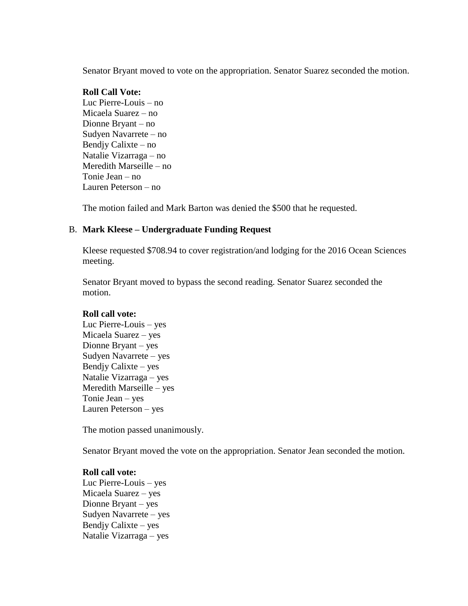Senator Bryant moved to vote on the appropriation. Senator Suarez seconded the motion.

#### **Roll Call Vote:**

Luc Pierre-Louis – no Micaela Suarez – no Dionne Bryant – no Sudyen Navarrete – no Bendjy Calixte – no Natalie Vizarraga – no Meredith Marseille – no Tonie Jean – no Lauren Peterson – no

The motion failed and Mark Barton was denied the \$500 that he requested.

## B. **Mark Kleese – Undergraduate Funding Request**

Kleese requested \$708.94 to cover registration/and lodging for the 2016 Ocean Sciences meeting.

Senator Bryant moved to bypass the second reading. Senator Suarez seconded the motion.

## **Roll call vote:**

Luc Pierre-Louis – yes Micaela Suarez – yes Dionne Bryant – yes Sudyen Navarrete – yes Bendjy Calixte – yes Natalie Vizarraga – yes Meredith Marseille – yes Tonie Jean – yes Lauren Peterson – yes

The motion passed unanimously.

Senator Bryant moved the vote on the appropriation. Senator Jean seconded the motion.

## **Roll call vote:**

Luc Pierre-Louis – yes Micaela Suarez – yes Dionne Bryant – yes Sudyen Navarrete – yes Bendjy Calixte – yes Natalie Vizarraga – yes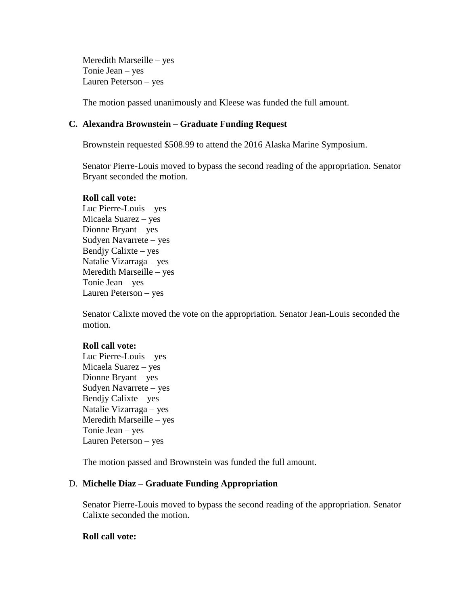Meredith Marseille – yes Tonie Jean – yes Lauren Peterson – yes

The motion passed unanimously and Kleese was funded the full amount.

### **C. Alexandra Brownstein – Graduate Funding Request**

Brownstein requested \$508.99 to attend the 2016 Alaska Marine Symposium.

Senator Pierre-Louis moved to bypass the second reading of the appropriation. Senator Bryant seconded the motion.

#### **Roll call vote:**

Luc Pierre-Louis – yes Micaela Suarez – yes Dionne Bryant – yes Sudyen Navarrete – yes Bendjy Calixte – yes Natalie Vizarraga – yes Meredith Marseille – yes Tonie Jean – yes Lauren Peterson – yes

Senator Calixte moved the vote on the appropriation. Senator Jean-Louis seconded the motion.

#### **Roll call vote:**

Luc Pierre-Louis – yes Micaela Suarez – yes Dionne Bryant – yes Sudyen Navarrete – yes Bendjy Calixte – yes Natalie Vizarraga – yes Meredith Marseille – yes Tonie Jean – yes Lauren Peterson – yes

The motion passed and Brownstein was funded the full amount.

## D. **Michelle Diaz – Graduate Funding Appropriation**

Senator Pierre-Louis moved to bypass the second reading of the appropriation. Senator Calixte seconded the motion.

## **Roll call vote:**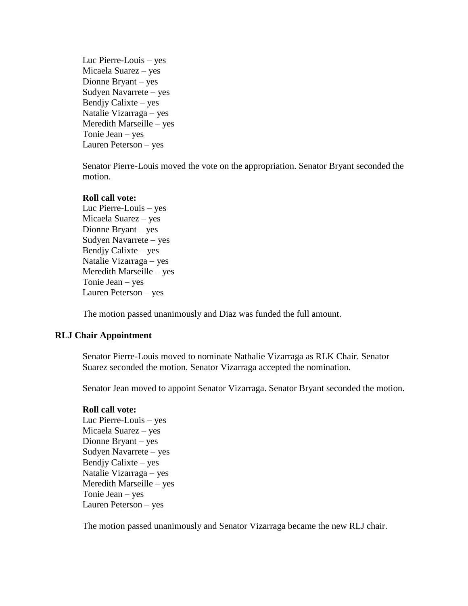Luc Pierre-Louis – yes Micaela Suarez – yes Dionne Bryant – yes Sudyen Navarrete – yes Bendjy Calixte – yes Natalie Vizarraga – yes Meredith Marseille – yes Tonie Jean – yes Lauren Peterson – yes

Senator Pierre-Louis moved the vote on the appropriation. Senator Bryant seconded the motion.

#### **Roll call vote:**

Luc Pierre-Louis – yes Micaela Suarez – yes Dionne Bryant – yes Sudyen Navarrete – yes Bendjy Calixte – yes Natalie Vizarraga – yes Meredith Marseille – yes Tonie Jean – yes Lauren Peterson – yes

The motion passed unanimously and Diaz was funded the full amount.

## **RLJ Chair Appointment**

Senator Pierre-Louis moved to nominate Nathalie Vizarraga as RLK Chair. Senator Suarez seconded the motion. Senator Vizarraga accepted the nomination.

Senator Jean moved to appoint Senator Vizarraga. Senator Bryant seconded the motion.

## **Roll call vote:**

Luc Pierre-Louis – yes Micaela Suarez – yes Dionne Bryant – yes Sudyen Navarrete – yes Bendjy Calixte – yes Natalie Vizarraga – yes Meredith Marseille – yes Tonie Jean – yes Lauren Peterson – yes

The motion passed unanimously and Senator Vizarraga became the new RLJ chair.